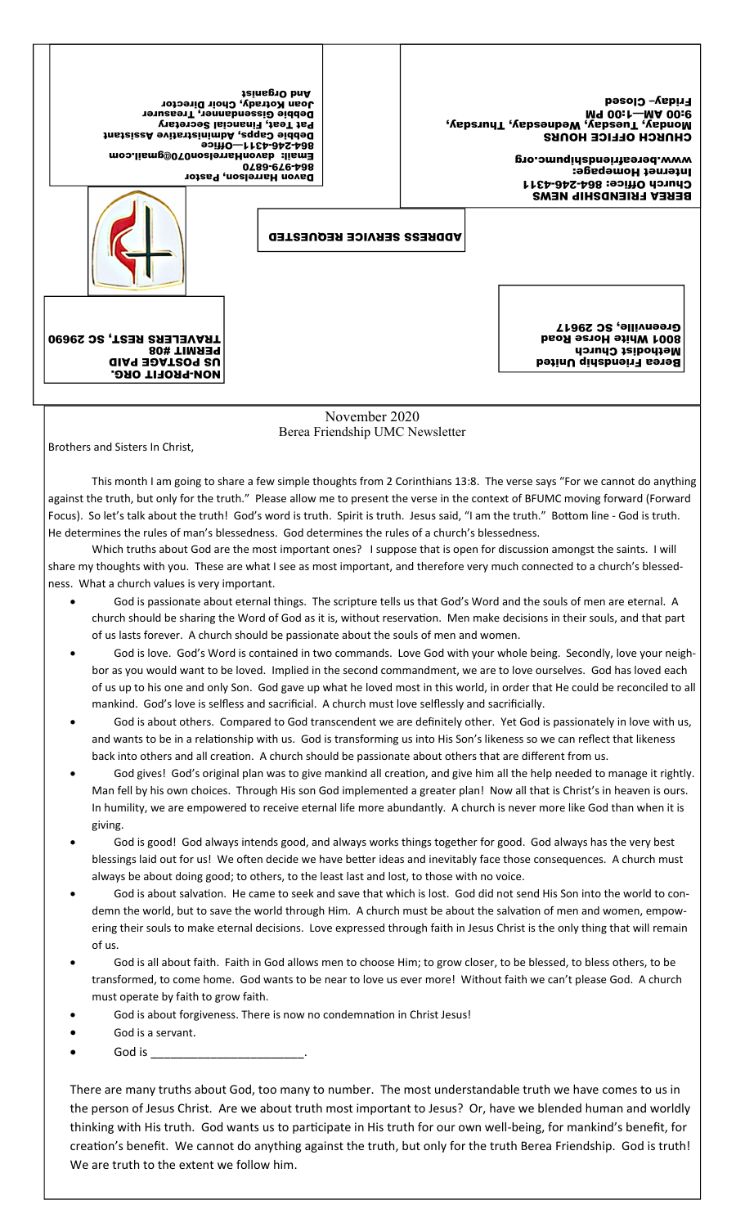| Joan Kotrady, Choir Director<br>Debbie Gissendanner, Treasurer<br>Pat Teat, Financial Secretary<br>Debie Capps, Administrative Assistant<br>90<br>Email: davonHarrelson070@gmail.com<br>Davon Harrelson, Pastor | <b>Jeinsg10 bnA</b><br>0489-646-798 |               | <b>Friday-Closed</b><br>M9 00:1-MA 00:6<br>"Yepsuny" (Yepseupe Wequesds) "Nepsea<br><b>CHNKCH OFFICE HONKS</b><br>www.bereafriendshipumc.org<br>Internet Homepage:<br><b>Church Office: 864-245-4311</b><br><b>BEREA FRIENDSHIP NEWS</b> |
|-----------------------------------------------------------------------------------------------------------------------------------------------------------------------------------------------------------------|-------------------------------------|---------------|------------------------------------------------------------------------------------------------------------------------------------------------------------------------------------------------------------------------------------------|
|                                                                                                                                                                                                                 | <b>ADDRESS SERVICE REQUESTED</b>    |               |                                                                                                                                                                                                                                          |
| <b>TRAVELERS REST, SC 29690</b><br><b>PERMIT #08</b><br><b>US POSTAGE PAID</b><br><b>NON-PROFIT ORG.</b>                                                                                                        |                                     |               | Greenville, SC 29617<br><b>B001 White Horse Road</b><br>Methodist Church<br>Berea Friendship United                                                                                                                                      |
|                                                                                                                                                                                                                 |                                     | November 2020 |                                                                                                                                                                                                                                          |

Berea Friendship UMC Newsletter

Brothers and Sisters In Christ,

 This month I am going to share a few simple thoughts from 2 Corinthians 13:8. The verse says "For we cannot do anything against the truth, but only for the truth." Please allow me to present the verse in the context of BFUMC moving forward (Forward Focus). So let's talk about the truth! God's word is truth. Spirit is truth. Jesus said, "I am the truth." Bottom line - God is truth. He determines the rules of man's blessedness. God determines the rules of a church's blessedness.

 Which truths about God are the most important ones? I suppose that is open for discussion amongst the saints. I will share my thoughts with you. These are what I see as most important, and therefore very much connected to a church's blessedness. What a church values is very important.

- God is passionate about eternal things. The scripture tells us that God's Word and the souls of men are eternal. A church should be sharing the Word of God as it is, without reservation. Men make decisions in their souls, and that part of us lasts forever. A church should be passionate about the souls of men and women.
- God is love. God's Word is contained in two commands. Love God with your whole being. Secondly, love your neighbor as you would want to be loved. Implied in the second commandment, we are to love ourselves. God has loved each of us up to his one and only Son. God gave up what he loved most in this world, in order that He could be reconciled to all mankind. God's love is selfless and sacrificial. A church must love selflessly and sacrificially.
- God is about others. Compared to God transcendent we are definitely other. Yet God is passionately in love with us, and wants to be in a relationship with us. God is transforming us into His Son's likeness so we can reflect that likeness back into others and all creation. A church should be passionate about others that are different from us.
- God gives! God's original plan was to give mankind all creation, and give him all the help needed to manage it rightly. Man fell by his own choices. Through His son God implemented a greater plan! Now all that is Christ's in heaven is ours. In humility, we are empowered to receive eternal life more abundantly. A church is never more like God than when it is giving.
- God is good! God always intends good, and always works things together for good. God always has the very best blessings laid out for us! We often decide we have better ideas and inevitably face those consequences. A church must always be about doing good; to others, to the least last and lost, to those with no voice.
- God is about salvation. He came to seek and save that which is lost. God did not send His Son into the world to condemn the world, but to save the world through Him. A church must be about the salvation of men and women, empowering their souls to make eternal decisions. Love expressed through faith in Jesus Christ is the only thing that will remain of us.
- God is all about faith. Faith in God allows men to choose Him; to grow closer, to be blessed, to bless others, to be transformed, to come home. God wants to be near to love us ever more! Without faith we can't please God. A church must operate by faith to grow faith.
- God is about forgiveness. There is now no condemnation in Christ Jesus!
- God is a servant.
- God is  $\overline{\phantom{a}}$

There are many truths about God, too many to number. The most understandable truth we have comes to us in the person of Jesus Christ. Are we about truth most important to Jesus? Or, have we blended human and worldly thinking with His truth. God wants us to participate in His truth for our own well-being, for mankind's benefit, for creation's benefit. We cannot do anything against the truth, but only for the truth Berea Friendship. God is truth! We are truth to the extent we follow him.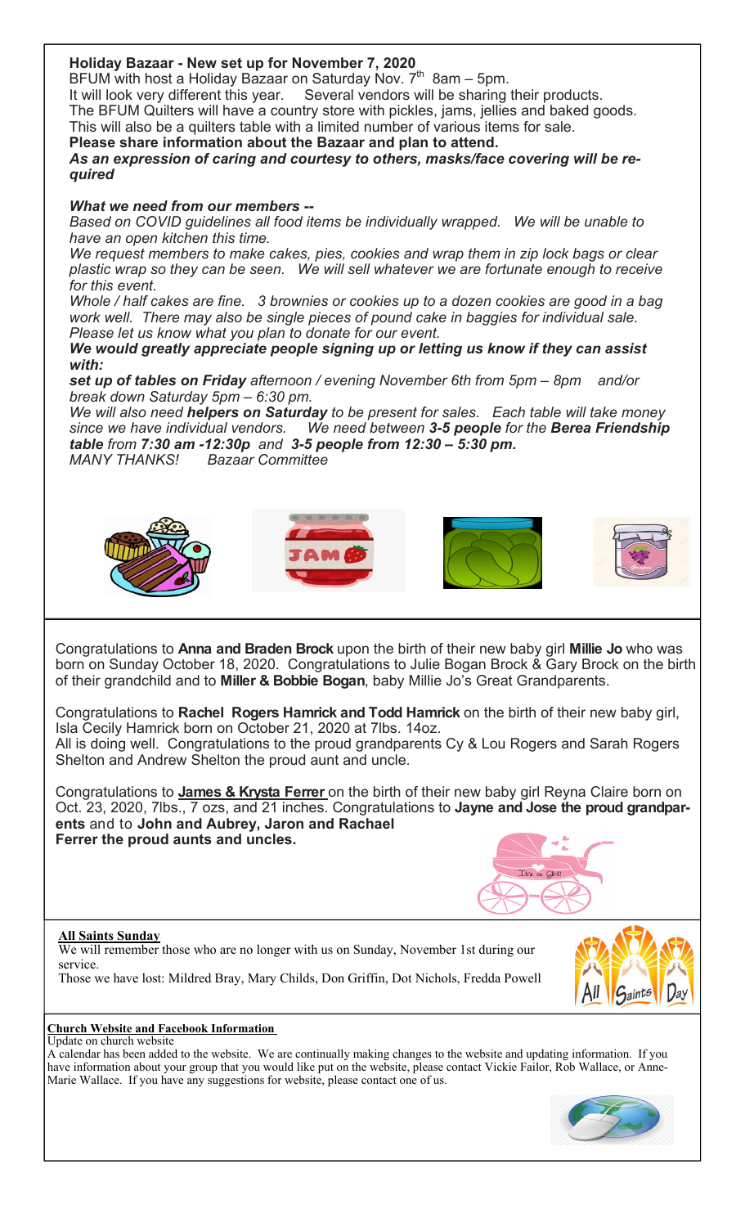### **Holiday Bazaar - New set up for November 7, 2020**

BFUM with host a Holiday Bazaar on Saturday Nov.  $7^{th}$  8am – 5pm.

It will look very different this year. Several vendors will be sharing their products. The BFUM Quilters will have a country store with pickles, jams, jellies and baked goods. This will also be a quilters table with a limited number of various items for sale.

**Please share information about the Bazaar and plan to attend.** *As an expression of caring and courtesy to others, masks/face covering will be required*

#### *What we need from our members --*

*Based on COVID guidelines all food items be individually wrapped. We will be unable to have an open kitchen this time.*

*We request members to make cakes, pies, cookies and wrap them in zip lock bags or clear plastic wrap so they can be seen. We will sell whatever we are fortunate enough to receive for this event.*

*Whole / half cakes are fine. 3 brownies or cookies up to a dozen cookies are good in a bag work well. There may also be single pieces of pound cake in baggies for individual sale. Please let us know what you plan to donate for our event.*

#### *We would greatly appreciate people signing up or letting us know if they can assist with:*

*set up of tables on Friday afternoon / evening November 6th from 5pm – 8pm and/or break down Saturday 5pm – 6:30 pm.* 

*We will also need helpers on Saturday to be present for sales. Each table will take money since we have individual vendors. We need between 3-5 people for the Berea Friendship table from 7:30 am -12:30p and 3-5 people from 12:30 – 5:30 pm. MANY THANKS! Bazaar Committee*



Congratulations to **Anna and Braden Brock** upon the birth of their new baby girl **Millie Jo** who was born on Sunday October 18, 2020. Congratulations to Julie Bogan Brock & Gary Brock on the birth of their grandchild and to **Miller & Bobbie Bogan**, baby Millie Jo's Great Grandparents.

Congratulations to **Rachel Rogers Hamrick and Todd Hamrick** on the birth of their new baby girl, Isla Cecily Hamrick born on October 21, 2020 at 7lbs. 14oz. All is doing well. Congratulations to the proud grandparents Cy & Lou Rogers and Sarah Rogers Shelton and Andrew Shelton the proud aunt and uncle.

Congratulations to **James & Krysta Ferrer** on the birth of their new baby girl Reyna Claire born on Oct. 23, 2020, 7lbs., 7 ozs, and 21 inches. Congratulations to **Jayne and Jose the proud grandparents** and to **John and Aubrey, Jaron and Rachael Ferrer the proud aunts and uncles.** 

#### **All Saints Sunday**

We will remember those who are no longer with us on Sunday, November 1st during our service.

Those we have lost: Mildred Bray, Mary Childs, Don Griffin, Dot Nichols, Fredda Powell



#### **Church Website and Facebook Information**  Update on church website

A calendar has been added to the website. We are continually making changes to the website and updating information. If you have information about your group that you would like put on the website, please contact Vickie Failor, Rob Wallace, or Anne-Marie Wallace. If you have any suggestions for website, please contact one of us.

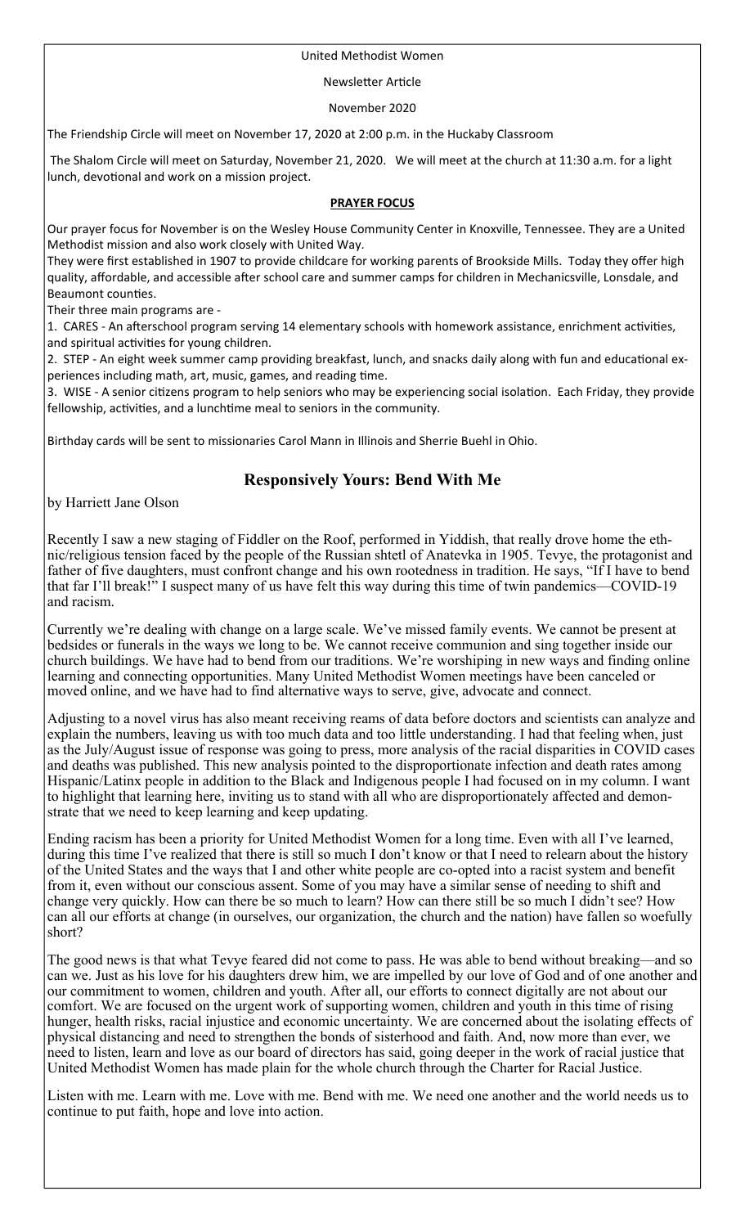#### United Methodist Women

#### Newsletter Article

November 2020

The Friendship Circle will meet on November 17, 2020 at 2:00 p.m. in the Huckaby Classroom

 The Shalom Circle will meet on Saturday, November 21, 2020. We will meet at the church at 11:30 a.m. for a light lunch, devotional and work on a mission project.

#### **PRAYER FOCUS**

Our prayer focus for November is on the Wesley House Community Center in Knoxville, Tennessee. They are a United Methodist mission and also work closely with United Way.

They were first established in 1907 to provide childcare for working parents of Brookside Mills. Today they offer high quality, affordable, and accessible after school care and summer camps for children in Mechanicsville, Lonsdale, and Beaumont counties.

Their three main programs are ‐

1. CARES - An afterschool program serving 14 elementary schools with homework assistance, enrichment activities, and spiritual activities for young children.

2. STEP - An eight week summer camp providing breakfast, lunch, and snacks daily along with fun and educational experiences including math, art, music, games, and reading time.

3. WISE - A senior citizens program to help seniors who may be experiencing social isolation. Each Friday, they provide fellowship, activities, and a lunchtime meal to seniors in the community.

Birthday cards will be sent to missionaries Carol Mann in Illinois and Sherrie Buehl in Ohio.

## **Responsively Yours: Bend With Me**

by Harriett Jane Olson

Recently I saw a new staging of Fiddler on the Roof, performed in Yiddish, that really drove home the ethnic/religious tension faced by the people of the Russian shtetl of Anatevka in 1905. Tevye, the protagonist and father of five daughters, must confront change and his own rootedness in tradition. He says, "If I have to bend that far I'll break!" I suspect many of us have felt this way during this time of twin pandemics—COVID-19 and racism.

Currently we're dealing with change on a large scale. We've missed family events. We cannot be present at bedsides or funerals in the ways we long to be. We cannot receive communion and sing together inside our church buildings. We have had to bend from our traditions. We're worshiping in new ways and finding online learning and connecting opportunities. Many United Methodist Women meetings have been canceled or moved online, and we have had to find alternative ways to serve, give, advocate and connect.

Adjusting to a novel virus has also meant receiving reams of data before doctors and scientists can analyze and explain the numbers, leaving us with too much data and too little understanding. I had that feeling when, just as the July/August issue of response was going to press, more analysis of the racial disparities in COVID cases and deaths was published. This new analysis pointed to the disproportionate infection and death rates among Hispanic/Latinx people in addition to the Black and Indigenous people I had focused on in my column. I want to highlight that learning here, inviting us to stand with all who are disproportionately affected and demonstrate that we need to keep learning and keep updating.

Ending racism has been a priority for United Methodist Women for a long time. Even with all I've learned, during this time I've realized that there is still so much I don't know or that I need to relearn about the history of the United States and the ways that I and other white people are co-opted into a racist system and benefit from it, even without our conscious assent. Some of you may have a similar sense of needing to shift and change very quickly. How can there be so much to learn? How can there still be so much I didn't see? How can all our efforts at change (in ourselves, our organization, the church and the nation) have fallen so woefully short?

The good news is that what Tevye feared did not come to pass. He was able to bend without breaking—and so can we. Just as his love for his daughters drew him, we are impelled by our love of God and of one another and our commitment to women, children and youth. After all, our efforts to connect digitally are not about our comfort. We are focused on the urgent work of supporting women, children and youth in this time of rising hunger, health risks, racial injustice and economic uncertainty. We are concerned about the isolating effects of physical distancing and need to strengthen the bonds of sisterhood and faith. And, now more than ever, we need to listen, learn and love as our board of directors has said, going deeper in the work of racial justice that United Methodist Women has made plain for the whole church through the Charter for Racial Justice.

Listen with me. Learn with me. Love with me. Bend with me. We need one another and the world needs us to continue to put faith, hope and love into action.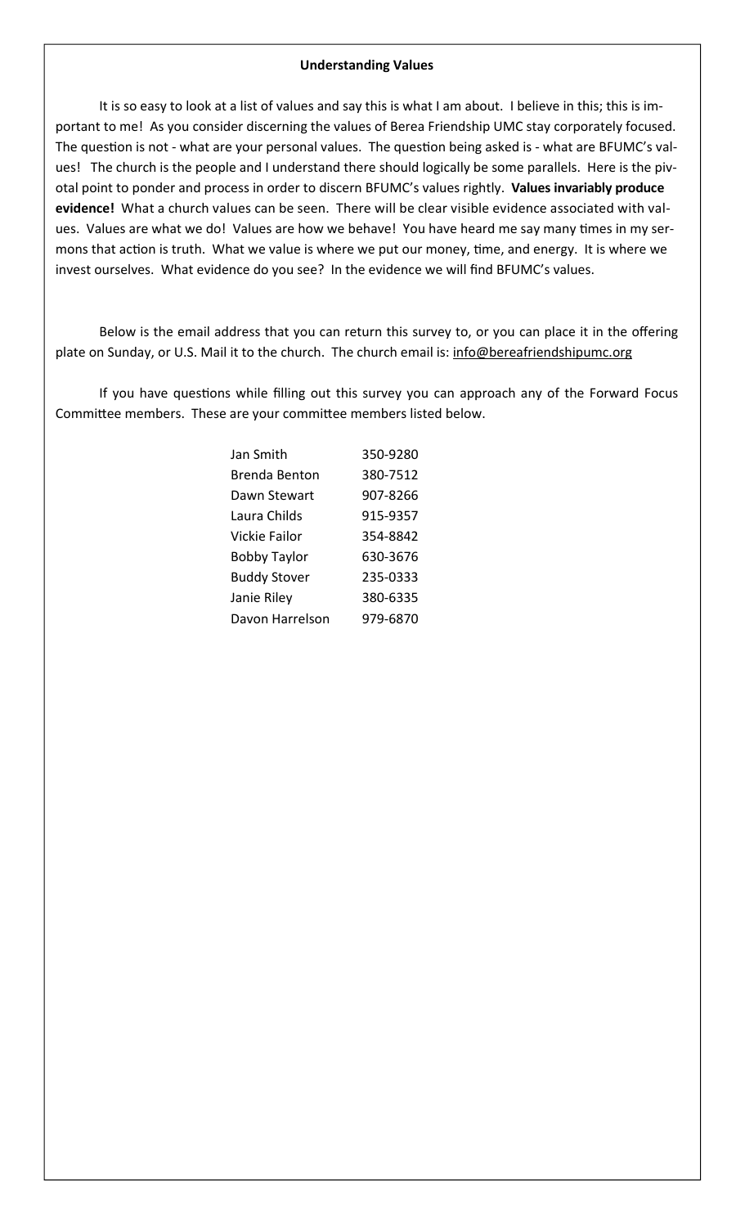#### **Understanding Values**

It is so easy to look at a list of values and say this is what I am about. I believe in this; this is im‐ portant to me! As you consider discerning the values of Berea Friendship UMC stay corporately focused. The question is not - what are your personal values. The question being asked is - what are BFUMC's values! The church is the people and I understand there should logically be some parallels. Here is the pivotal point to ponder and process in order to discern BFUMC's values rightly. **Values invariably produce evidence!** What a church values can be seen. There will be clear visible evidence associated with val‐ ues. Values are what we do! Values are how we behave! You have heard me say many times in my sermons that action is truth. What we value is where we put our money, time, and energy. It is where we invest ourselves. What evidence do you see? In the evidence we will find BFUMC's values.

Below is the email address that you can return this survey to, or you can place it in the offering plate on Sunday, or U.S. Mail it to the church. The church email is: info@bereafriendshipumc.org

If you have questions while filling out this survey you can approach any of the Forward Focus Committee members. These are your committee members listed below.

| Jan Smith            | 350-9280 |
|----------------------|----------|
| <b>Brenda Benton</b> | 380-7512 |
| Dawn Stewart         | 907-8266 |
| Laura Childs         | 915-9357 |
| Vickie Failor        | 354-8842 |
| <b>Bobby Taylor</b>  | 630-3676 |
| <b>Buddy Stover</b>  | 235-0333 |
| Janie Riley          | 380-6335 |
| Davon Harrelson      | 979-6870 |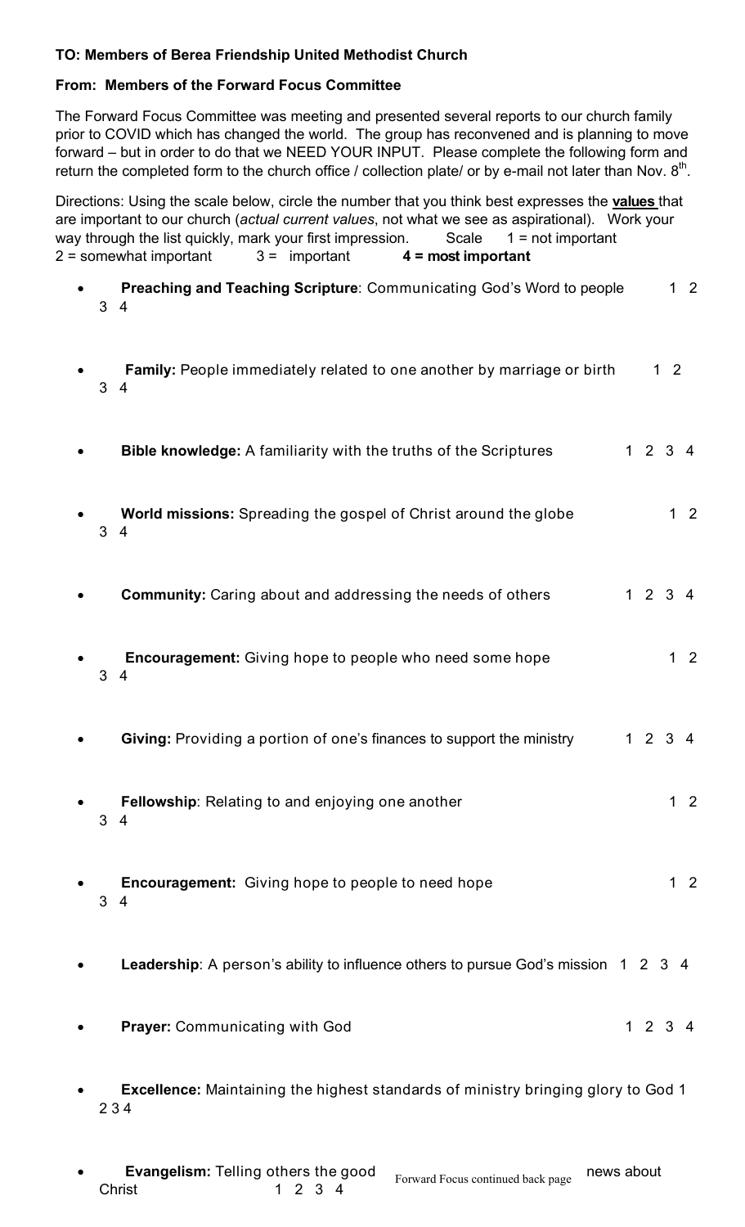## **TO: Members of Berea Friendship United Methodist Church**

### **From: Members of the Forward Focus Committee**

The Forward Focus Committee was meeting and presented several reports to our church family prior to COVID which has changed the world. The group has reconvened and is planning to move forward – but in order to do that we NEED YOUR INPUT. Please complete the following form and return the completed form to the church office / collection plate/ or by e-mail not later than Nov.  $8<sup>th</sup>$ .

Directions: Using the scale below, circle the number that you think best expresses the **values** that are important to our church (*actual current values*, not what we see as aspirational). Work your way through the list quickly, mark your first impression. Scale  $1 = not$  important 2 = somewhat important 3 = important **4 = most important**

- **Preaching and Teaching Scripture:** Communicating God's Word to people 1 2 3 4
- **Family:** People immediately related to one another by marriage or birth 1 2 3 4
- **Bible knowledge:** A familiarity with the truths of the Scriptures 1 2 3 4
- **World missions:** Spreading the gospel of Christ around the globe 1 2 3 4
- **Community:** Caring about and addressing the needs of others 1 2 3 4
- **Encouragement:** Giving hope to people who need some hope 1 2 3 4
- **Giving:** Providing a portion of one's finances to support the ministry 1 2 3 4
- **Fellowship:** Relating to and enjoying one another 1 2 3 4
- **Encouragement:** Giving hope to people to need hope *1* 2 3 4
- **Leadership**: A person's ability to influence others to pursue God's mission 1 2 3 4
- **Prayer:** Communicating with God 1 2 3 4
- **Excellence:** Maintaining the highest standards of ministry bringing glory to God 1 2 3 4
- **Evangelism:** Telling others the good news about news about **Evangensm.** Tenning others the good Forward Focus continued back page<br>Christ 1 2 3 4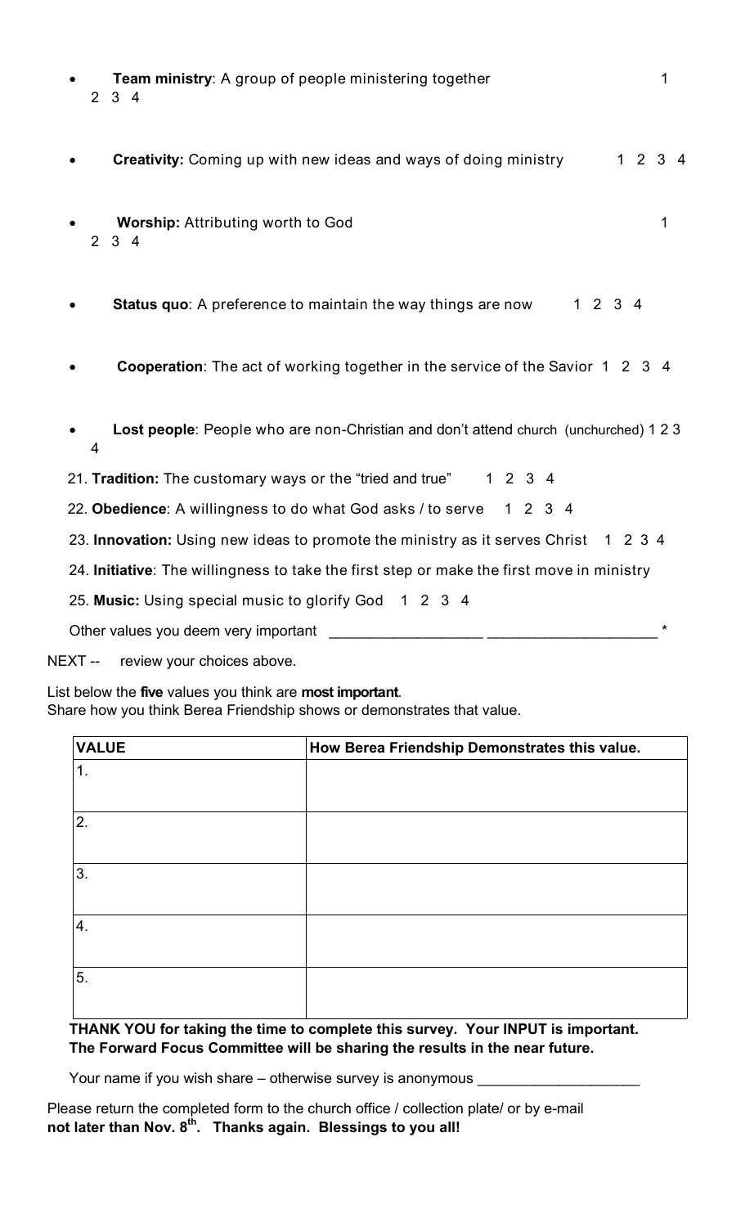| Team ministry: A group of people ministering together<br>$2 \t3 \t4$                      | 1    |
|-------------------------------------------------------------------------------------------|------|
| <b>Creativity:</b> Coming up with new ideas and ways of doing ministry                    | 1234 |
| <b>Worship: Attributing worth to God</b><br>$2 \quad 3 \quad 4$                           | 1    |
| 1234<br><b>Status quo:</b> A preference to maintain the way things are now                |      |
| <b>Cooperation:</b> The act of working together in the service of the Savior 1 2 3 4      |      |
| Lost people: People who are non-Christian and don't attend church (unchurched) 1 2 3<br>4 |      |
| 21. Tradition: The customary ways or the "tried and true"<br>1234                         |      |
| 22. Obedience: A willingness to do what God asks / to serve 1 2 3 4                       |      |
| 23. Innovation: Using new ideas to promote the ministry as it serves Christ 1 2 3 4       |      |
| 24. Initiative: The willingness to take the first step or make the first move in ministry |      |
| 25. Music: Using special music to glorify God 1 2 3 4                                     |      |
| Other values you deem very important                                                      | *    |

NEXT -- review your choices above.

List below the **five** values you think are **most important**.

Share how you think Berea Friendship shows or demonstrates that value.

| <b>VALUE</b> | How Berea Friendship Demonstrates this value. |
|--------------|-----------------------------------------------|
| 1.           |                                               |
| 2.           |                                               |
| 3.           |                                               |
| $\vert 4.$   |                                               |
| 5.           |                                               |

### **THANK YOU for taking the time to complete this survey. Your INPUT is important. The Forward Focus Committee will be sharing the results in the near future.**

Your name if you wish share – otherwise survey is anonymous \_

Please return the completed form to the church office / collection plate/ or by e-mail **not later than Nov. 8th. Thanks again. Blessings to you all!**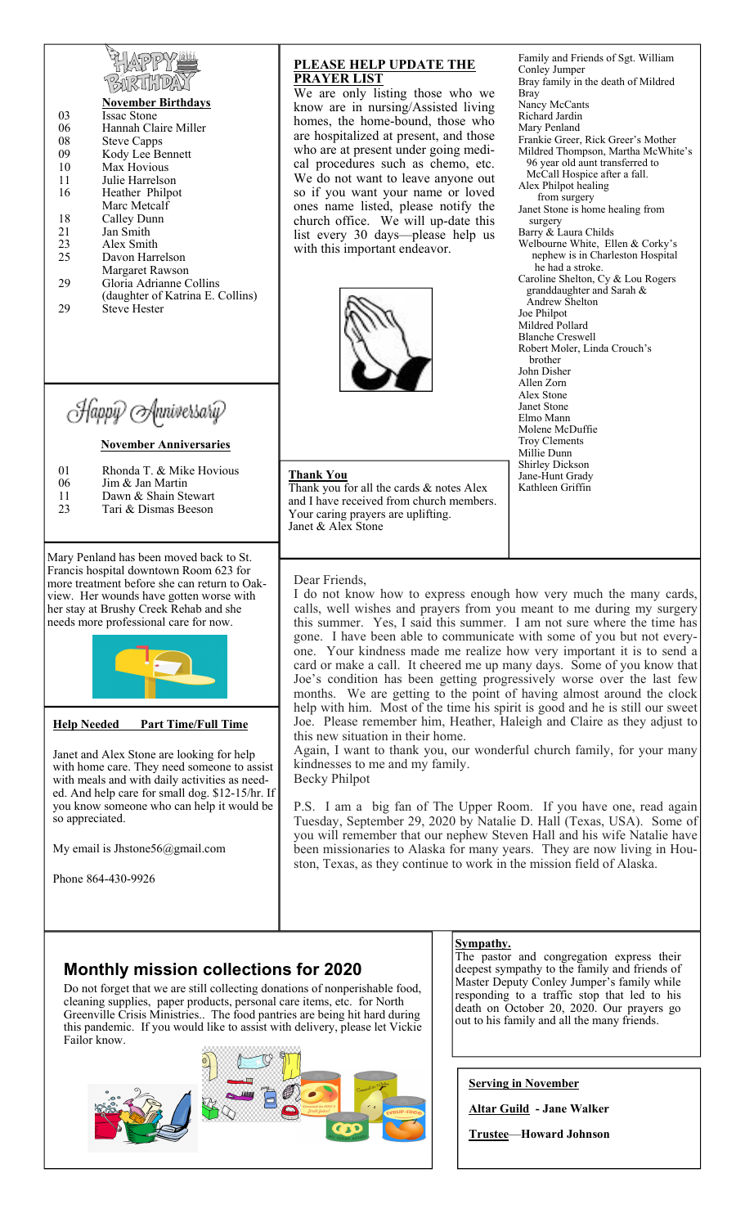| 130KUHL<br><b>November Birthdays</b><br><b>Issac Stone</b><br>03<br>Hannah Claire Miller<br>06<br>08<br><b>Steve Capps</b><br>09<br>Kody Lee Bennett<br>Max Hovious<br>10<br>11<br>Julie Harrelson<br>16<br>Heather Philpot<br>Marc Metcalf<br>18<br>Calley Dunn<br>21<br>Jan Smith<br>23<br>Alex Smith<br>25<br>Davon Harrelson<br>Margaret Rawson<br>Gloria Adrianne Collins<br>29<br>(daughter of Katrina E. Collins)<br>29<br><b>Steve Hester</b><br>Happy Anniversary<br><b>November Anniversaries</b> | <b>PLEASE HELP UPDATE THE</b><br><b>PRAYER LIST</b><br>We are only listing those who we<br>know are in nursing/Assisted living<br>homes, the home-bound, those who<br>are hospitalized at present, and those<br>who are at present under going medi-<br>cal procedures such as chemo, etc.<br>We do not want to leave anyone out<br>so if you want your name or loved<br>ones name listed, please notify the<br>church office. We will up-date this<br>list every 30 days—please help us<br>with this important endeavor.                                                                                                                                                                                                                                                       | Family and Friends of Sgt. William<br>Conley Jumper<br>Bray family in the death of Mildred<br><b>Bray</b><br>Nancy McCants<br>Richard Jardin<br>Mary Penland<br>Frankie Greer, Rick Greer's Mother<br>Mildred Thompson, Martha McWhite's<br>96 year old aunt transferred to<br>McCall Hospice after a fall.<br>Alex Philpot healing<br>from surgery<br>Janet Stone is home healing from<br>surgery<br>Barry & Laura Childs<br>Welbourne White, Ellen & Corky's<br>nephew is in Charleston Hospital<br>he had a stroke.<br>Caroline Shelton, Cy & Lou Rogers<br>granddaughter and Sarah &<br>Andrew Shelton<br>Joe Philpot<br>Mildred Pollard<br><b>Blanche Creswell</b><br>Robert Moler, Linda Crouch's<br>brother<br>John Disher<br>Allen Zorn<br>Alex Stone<br>Janet Stone<br>Elmo Mann<br>Molene McDuffie<br>Troy Clements<br>Millie Dunn |
|-------------------------------------------------------------------------------------------------------------------------------------------------------------------------------------------------------------------------------------------------------------------------------------------------------------------------------------------------------------------------------------------------------------------------------------------------------------------------------------------------------------|---------------------------------------------------------------------------------------------------------------------------------------------------------------------------------------------------------------------------------------------------------------------------------------------------------------------------------------------------------------------------------------------------------------------------------------------------------------------------------------------------------------------------------------------------------------------------------------------------------------------------------------------------------------------------------------------------------------------------------------------------------------------------------|----------------------------------------------------------------------------------------------------------------------------------------------------------------------------------------------------------------------------------------------------------------------------------------------------------------------------------------------------------------------------------------------------------------------------------------------------------------------------------------------------------------------------------------------------------------------------------------------------------------------------------------------------------------------------------------------------------------------------------------------------------------------------------------------------------------------------------------------|
| 01<br>Rhonda T. & Mike Hovious<br>06<br>Jim & Jan Martin<br>Dawn & Shain Stewart<br>11<br>23<br>Tari & Dismas Beeson                                                                                                                                                                                                                                                                                                                                                                                        | <u>Thank You</u><br>Thank you for all the cards & notes Alex<br>and I have received from church members.<br>Your caring prayers are uplifting.<br>Janet & Alex Stone                                                                                                                                                                                                                                                                                                                                                                                                                                                                                                                                                                                                            | Shirley Dickson<br>Jane-Hunt Grady<br>Kathleen Griffin                                                                                                                                                                                                                                                                                                                                                                                                                                                                                                                                                                                                                                                                                                                                                                                       |
| Mary Penland has been moved back to St.<br>Francis hospital downtown Room 623 for<br>more treatment before she can return to Oak-<br>view. Her wounds have gotten worse with<br>her stay at Brushy Creek Rehab and she<br>needs more professional care for now.<br><b>Part Time/Full Time</b><br><b>Help Needed</b>                                                                                                                                                                                         | Dear Friends,<br>I do not know how to express enough how very much the many cards,<br>calls, well wishes and prayers from you meant to me during my surgery<br>this summer. Yes, I said this summer. I am not sure where the time has<br>gone. I have been able to communicate with some of you but not every-<br>one. Your kindness made me realize how very important it is to send a<br>card or make a call. It cheered me up many days. Some of you know that<br>Joe's condition has been getting progressively worse over the last few<br>months. We are getting to the point of having almost around the clock<br>help with him. Most of the time his spirit is good and he is still our sweet<br>Joe. Please remember him, Heather, Haleigh and Claire as they adjust to |                                                                                                                                                                                                                                                                                                                                                                                                                                                                                                                                                                                                                                                                                                                                                                                                                                              |
| Janet and Alex Stone are looking for help<br>with home care. They need someone to assist                                                                                                                                                                                                                                                                                                                                                                                                                    | this new situation in their home.<br>Again, I want to thank you, our wonderful church family, for your many<br>kindnesses to me and my family.                                                                                                                                                                                                                                                                                                                                                                                                                                                                                                                                                                                                                                  |                                                                                                                                                                                                                                                                                                                                                                                                                                                                                                                                                                                                                                                                                                                                                                                                                                              |

Becky Philpot

with home care. They need someone to assist with meals and with daily activities as needed. And help care for small dog. \$12-15/hr. If you know someone who can help it would be so appreciated.

My email is Jhstone56@gmail.com

Phone 864-430-9926

ston, Texas, as they continue to work in the mission field of Alaska.

## **Monthly mission collections for 2020**

Do not forget that we are still collecting donations of nonperishable food, cleaning supplies, paper products, personal care items, etc. for North Greenville Crisis Ministries.. The food pantries are being hit hard during this pandemic. If you would like to assist with delivery, please let Vickie Failor know.



#### **Sympathy.**

P.S. I am a big fan of The Upper Room. If you have one, read again Tuesday, September 29, 2020 by Natalie D. Hall (Texas, USA). Some of you will remember that our nephew Steven Hall and his wife Natalie have been missionaries to Alaska for many years. They are now living in Hou-

> The pastor and congregation express their deepest sympathy to the family and friends of Master Deputy Conley Jumper's family while responding to a traffic stop that led to his death on October 20, 2020. Our prayers go out to his family and all the many friends.

**Serving in November** 

**Altar Guild - Jane Walker** 

**Trustee**—**Howard Johnson**